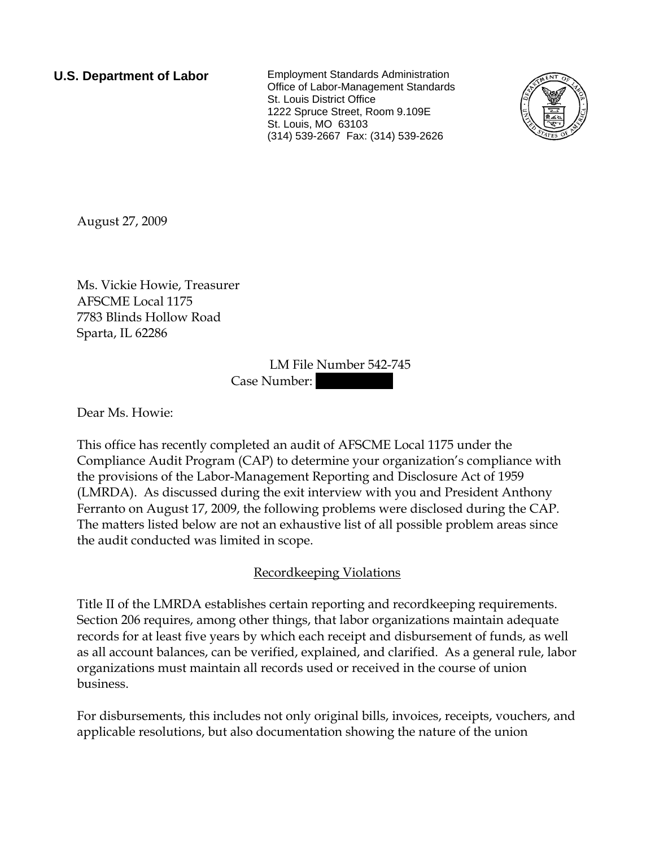**U.S. Department of Labor** Employment Standards Administration Office of Labor-Management Standards St. Louis District Office 1222 Spruce Street, Room 9.109E St. Louis, MO 63103 (314) 539-2667 Fax: (314) 539-2626



August 27, 2009

Ms. Vickie Howie, Treasurer AFSCME Local 1175 7783 Blinds Hollow Road Sparta, IL 62286

> LM File Number 542-745 Case Number:

Dear Ms. Howie:

This office has recently completed an audit of AFSCME Local 1175 under the Compliance Audit Program (CAP) to determine your organization's compliance with the provisions of the Labor-Management Reporting and Disclosure Act of 1959 (LMRDA). As discussed during the exit interview with you and President Anthony Ferranto on August 17, 2009, the following problems were disclosed during the CAP. The matters listed below are not an exhaustive list of all possible problem areas since the audit conducted was limited in scope.

## Recordkeeping Violations

Title II of the LMRDA establishes certain reporting and recordkeeping requirements. Section 206 requires, among other things, that labor organizations maintain adequate records for at least five years by which each receipt and disbursement of funds, as well as all account balances, can be verified, explained, and clarified. As a general rule, labor organizations must maintain all records used or received in the course of union business.

For disbursements, this includes not only original bills, invoices, receipts, vouchers, and applicable resolutions, but also documentation showing the nature of the union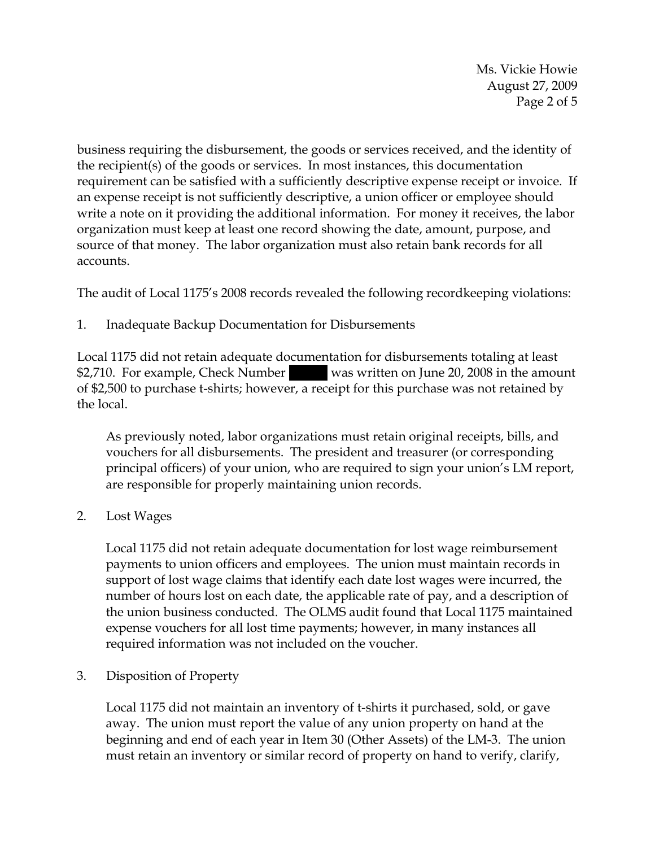Ms. Vickie Howie August 27, 2009 Page 2 of 5

business requiring the disbursement, the goods or services received, and the identity of the recipient(s) of the goods or services. In most instances, this documentation requirement can be satisfied with a sufficiently descriptive expense receipt or invoice. If an expense receipt is not sufficiently descriptive, a union officer or employee should write a note on it providing the additional information. For money it receives, the labor organization must keep at least one record showing the date, amount, purpose, and source of that money. The labor organization must also retain bank records for all accounts.

The audit of Local 1175's 2008 records revealed the following recordkeeping violations:

1. Inadequate Backup Documentation for Disbursements

Local 1175 did not retain adequate documentation for disbursements totaling at least \$2,710. For example, Check Number was written on June 20, 2008 in the amount of \$2,500 to purchase t-shirts; however, a receipt for this purchase was not retained by the local.

As previously noted, labor organizations must retain original receipts, bills, and vouchers for all disbursements. The president and treasurer (or corresponding principal officers) of your union, who are required to sign your union's LM report, are responsible for properly maintaining union records.

2. Lost Wages

Local 1175 did not retain adequate documentation for lost wage reimbursement payments to union officers and employees. The union must maintain records in support of lost wage claims that identify each date lost wages were incurred, the number of hours lost on each date, the applicable rate of pay, and a description of the union business conducted. The OLMS audit found that Local 1175 maintained expense vouchers for all lost time payments; however, in many instances all required information was not included on the voucher.

3. Disposition of Property

Local 1175 did not maintain an inventory of t-shirts it purchased, sold, or gave away. The union must report the value of any union property on hand at the beginning and end of each year in Item 30 (Other Assets) of the LM-3. The union must retain an inventory or similar record of property on hand to verify, clarify,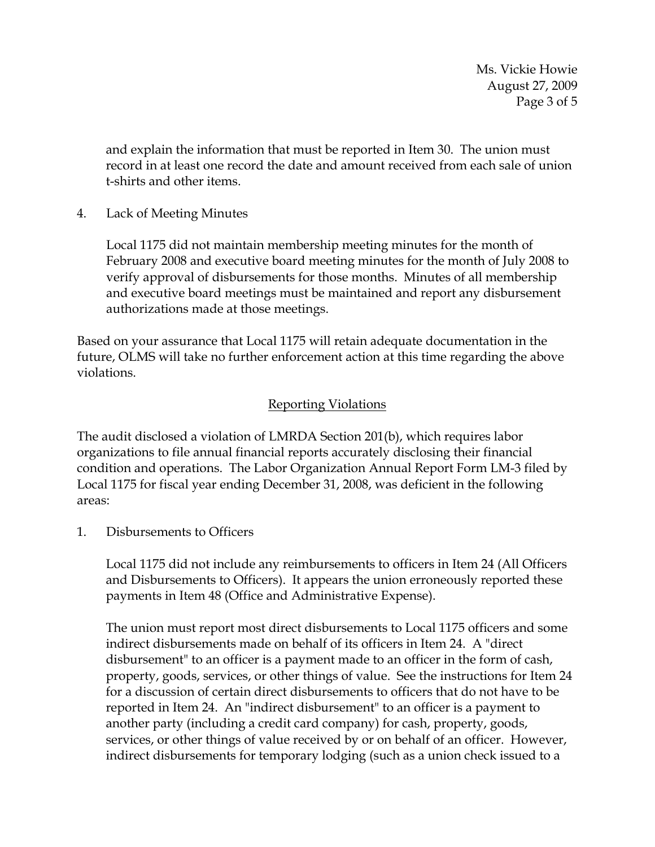Ms. Vickie Howie August 27, 2009 Page 3 of 5

and explain the information that must be reported in Item 30. The union must record in at least one record the date and amount received from each sale of union t-shirts and other items.

4. Lack of Meeting Minutes

Local 1175 did not maintain membership meeting minutes for the month of February 2008 and executive board meeting minutes for the month of July 2008 to verify approval of disbursements for those months. Minutes of all membership and executive board meetings must be maintained and report any disbursement authorizations made at those meetings.

Based on your assurance that Local 1175 will retain adequate documentation in the future, OLMS will take no further enforcement action at this time regarding the above violations.

## Reporting Violations

The audit disclosed a violation of LMRDA Section 201(b), which requires labor organizations to file annual financial reports accurately disclosing their financial condition and operations. The Labor Organization Annual Report Form LM-3 filed by Local 1175 for fiscal year ending December 31, 2008, was deficient in the following areas:

1. Disbursements to Officers

Local 1175 did not include any reimbursements to officers in Item 24 (All Officers and Disbursements to Officers). It appears the union erroneously reported these payments in Item 48 (Office and Administrative Expense).

The union must report most direct disbursements to Local 1175 officers and some indirect disbursements made on behalf of its officers in Item 24. A "direct disbursement" to an officer is a payment made to an officer in the form of cash, property, goods, services, or other things of value. See the instructions for Item 24 for a discussion of certain direct disbursements to officers that do not have to be reported in Item 24. An "indirect disbursement" to an officer is a payment to another party (including a credit card company) for cash, property, goods, services, or other things of value received by or on behalf of an officer. However, indirect disbursements for temporary lodging (such as a union check issued to a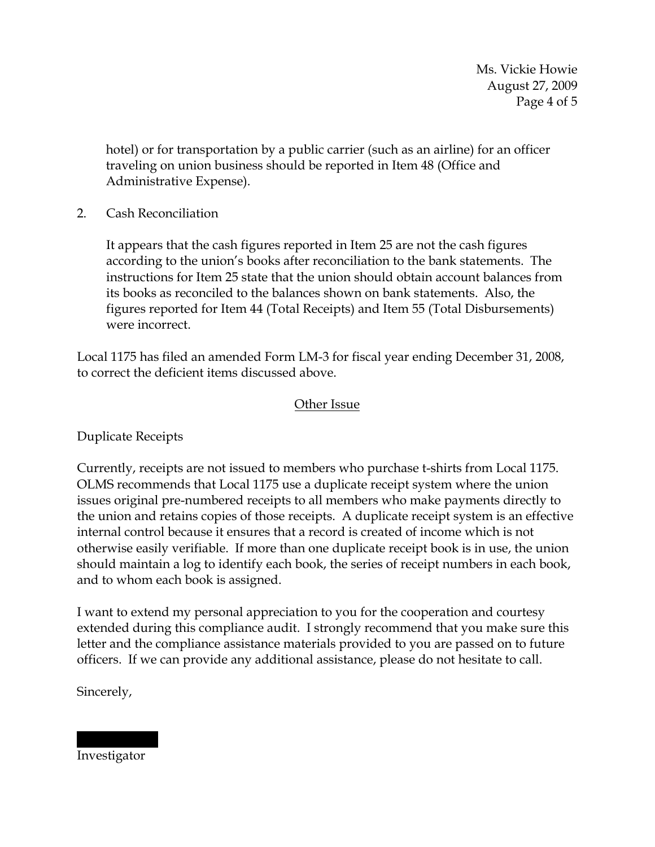Ms. Vickie Howie August 27, 2009 Page 4 of 5

hotel) or for transportation by a public carrier (such as an airline) for an officer traveling on union business should be reported in Item 48 (Office and Administrative Expense).

## 2. Cash Reconciliation

It appears that the cash figures reported in Item 25 are not the cash figures according to the union's books after reconciliation to the bank statements. The instructions for Item 25 state that the union should obtain account balances from its books as reconciled to the balances shown on bank statements. Also, the figures reported for Item 44 (Total Receipts) and Item 55 (Total Disbursements) were incorrect.

Local 1175 has filed an amended Form LM-3 for fiscal year ending December 31, 2008, to correct the deficient items discussed above.

## Other Issue

Duplicate Receipts

Currently, receipts are not issued to members who purchase t-shirts from Local 1175. OLMS recommends that Local 1175 use a duplicate receipt system where the union issues original pre-numbered receipts to all members who make payments directly to the union and retains copies of those receipts. A duplicate receipt system is an effective internal control because it ensures that a record is created of income which is not otherwise easily verifiable. If more than one duplicate receipt book is in use, the union should maintain a log to identify each book, the series of receipt numbers in each book, and to whom each book is assigned.

I want to extend my personal appreciation to you for the cooperation and courtesy extended during this compliance audit. I strongly recommend that you make sure this letter and the compliance assistance materials provided to you are passed on to future officers. If we can provide any additional assistance, please do not hesitate to call.

Sincerely,

|||| |||||| Investigator